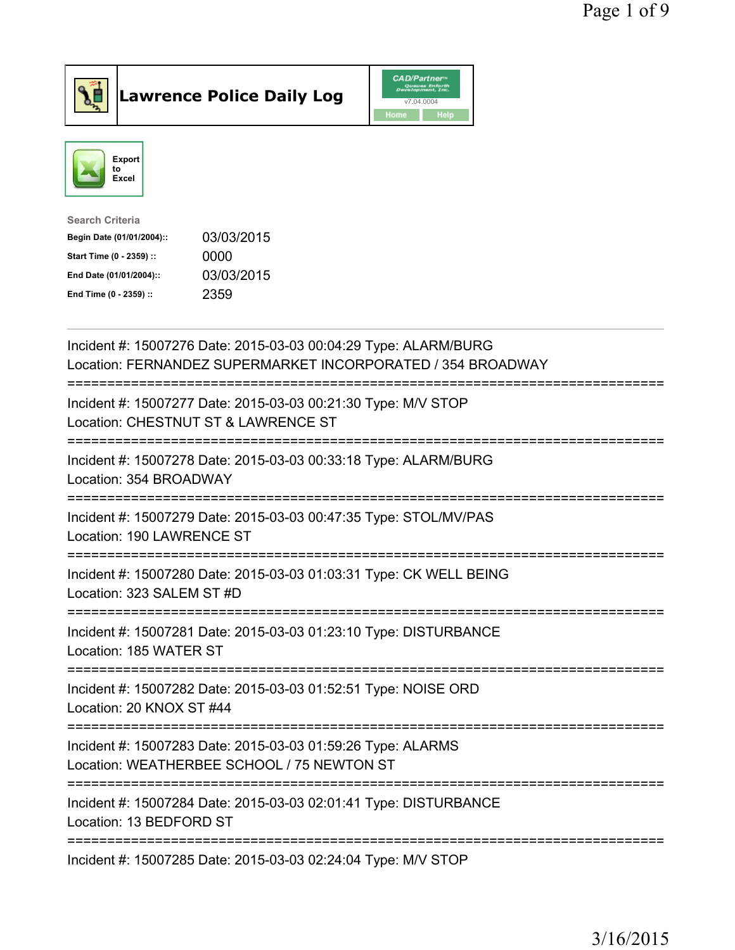



| Search Criteria           |            |
|---------------------------|------------|
| Begin Date (01/01/2004):: | 03/03/2015 |
| Start Time (0 - 2359) ::  | 0000       |
| End Date (01/01/2004)::   | 03/03/2015 |
| End Time (0 - 2359) ::    | 2359       |
|                           |            |

| Incident #: 15007276 Date: 2015-03-03 00:04:29 Type: ALARM/BURG<br>Location: FERNANDEZ SUPERMARKET INCORPORATED / 354 BROADWAY                                          |
|-------------------------------------------------------------------------------------------------------------------------------------------------------------------------|
| Incident #: 15007277 Date: 2015-03-03 00:21:30 Type: M/V STOP<br>Location: CHESTNUT ST & LAWRENCE ST                                                                    |
| Incident #: 15007278 Date: 2015-03-03 00:33:18 Type: ALARM/BURG<br>Location: 354 BROADWAY                                                                               |
| Incident #: 15007279 Date: 2015-03-03 00:47:35 Type: STOL/MV/PAS<br>Location: 190 LAWRENCE ST<br>:==============                                                        |
| Incident #: 15007280 Date: 2015-03-03 01:03:31 Type: CK WELL BEING<br>Location: 323 SALEM ST #D<br>--------------                                                       |
| Incident #: 15007281 Date: 2015-03-03 01:23:10 Type: DISTURBANCE<br>Location: 185 WATER ST<br>=============                                                             |
| Incident #: 15007282 Date: 2015-03-03 01:52:51 Type: NOISE ORD<br>Location: 20 KNOX ST #44                                                                              |
| Incident #: 15007283 Date: 2015-03-03 01:59:26 Type: ALARMS<br>Location: WEATHERBEE SCHOOL / 75 NEWTON ST<br>======================================<br>---------------- |
| Incident #: 15007284 Date: 2015-03-03 02:01:41 Type: DISTURBANCE<br>Location: 13 BEDFORD ST                                                                             |
| Incident #: 15007285 Date: 2015-03-03 02:24:04 Type: M/V STOP                                                                                                           |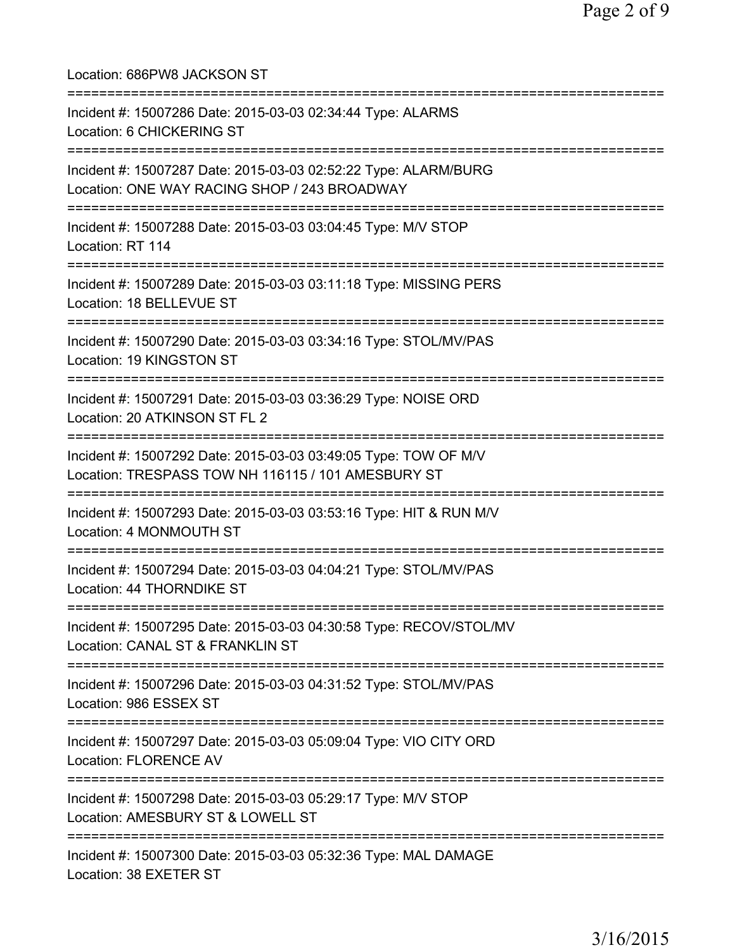| Location: 686PW8 JACKSON ST                                                                                                         |
|-------------------------------------------------------------------------------------------------------------------------------------|
| Incident #: 15007286 Date: 2015-03-03 02:34:44 Type: ALARMS<br>Location: 6 CHICKERING ST<br>================================        |
| Incident #: 15007287 Date: 2015-03-03 02:52:22 Type: ALARM/BURG<br>Location: ONE WAY RACING SHOP / 243 BROADWAY                     |
| Incident #: 15007288 Date: 2015-03-03 03:04:45 Type: M/V STOP<br>Location: RT 114                                                   |
| :=======================<br>Incident #: 15007289 Date: 2015-03-03 03:11:18 Type: MISSING PERS<br>Location: 18 BELLEVUE ST           |
| Incident #: 15007290 Date: 2015-03-03 03:34:16 Type: STOL/MV/PAS<br>Location: 19 KINGSTON ST                                        |
| Incident #: 15007291 Date: 2015-03-03 03:36:29 Type: NOISE ORD<br>Location: 20 ATKINSON ST FL 2                                     |
| Incident #: 15007292 Date: 2015-03-03 03:49:05 Type: TOW OF M/V<br>Location: TRESPASS TOW NH 116115 / 101 AMESBURY ST               |
| Incident #: 15007293 Date: 2015-03-03 03:53:16 Type: HIT & RUN M/V<br>Location: 4 MONMOUTH ST                                       |
| Incident #: 15007294 Date: 2015-03-03 04:04:21 Type: STOL/MV/PAS<br>Location: 44 THORNDIKE ST                                       |
| Incident #: 15007295 Date: 2015-03-03 04:30:58 Type: RECOV/STOL/MV<br>Location: CANAL ST & FRANKLIN ST                              |
| Incident #: 15007296 Date: 2015-03-03 04:31:52 Type: STOL/MV/PAS<br>Location: 986 ESSEX ST                                          |
| ==============================<br>Incident #: 15007297 Date: 2015-03-03 05:09:04 Type: VIO CITY ORD<br><b>Location: FLORENCE AV</b> |
| Incident #: 15007298 Date: 2015-03-03 05:29:17 Type: M/V STOP<br>Location: AMESBURY ST & LOWELL ST                                  |
| Incident #: 15007300 Date: 2015-03-03 05:32:36 Type: MAL DAMAGE<br>Location: 38 EXETER ST                                           |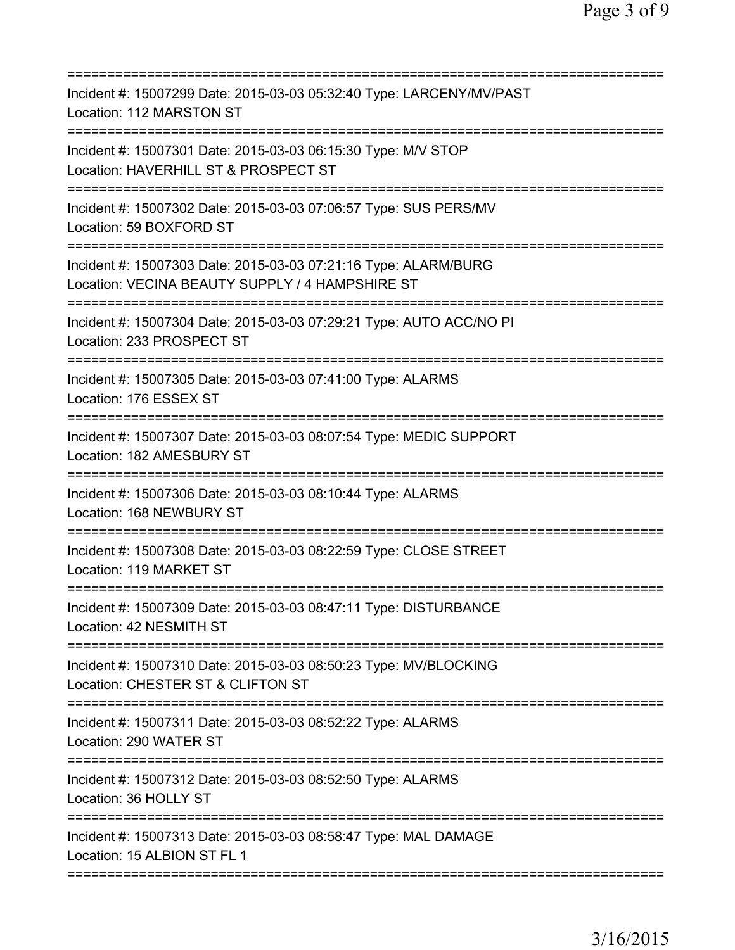| Incident #: 15007299 Date: 2015-03-03 05:32:40 Type: LARCENY/MV/PAST<br>Location: 112 MARSTON ST                                         |
|------------------------------------------------------------------------------------------------------------------------------------------|
| Incident #: 15007301 Date: 2015-03-03 06:15:30 Type: M/V STOP<br>Location: HAVERHILL ST & PROSPECT ST<br>=============================== |
| Incident #: 15007302 Date: 2015-03-03 07:06:57 Type: SUS PERS/MV<br>Location: 59 BOXFORD ST                                              |
| Incident #: 15007303 Date: 2015-03-03 07:21:16 Type: ALARM/BURG<br>Location: VECINA BEAUTY SUPPLY / 4 HAMPSHIRE ST                       |
| Incident #: 15007304 Date: 2015-03-03 07:29:21 Type: AUTO ACC/NO PI<br>Location: 233 PROSPECT ST                                         |
| Incident #: 15007305 Date: 2015-03-03 07:41:00 Type: ALARMS<br>Location: 176 ESSEX ST<br>======================================          |
| Incident #: 15007307 Date: 2015-03-03 08:07:54 Type: MEDIC SUPPORT<br>Location: 182 AMESBURY ST                                          |
| Incident #: 15007306 Date: 2015-03-03 08:10:44 Type: ALARMS<br>Location: 168 NEWBURY ST<br>======================================        |
| Incident #: 15007308 Date: 2015-03-03 08:22:59 Type: CLOSE STREET<br>Location: 119 MARKET ST                                             |
| Incident #: 15007309 Date: 2015-03-03 08:47:11 Type: DISTURBANCE<br>Location: 42 NESMITH ST<br>;===============================          |
| Incident #: 15007310 Date: 2015-03-03 08:50:23 Type: MV/BLOCKING<br>Location: CHESTER ST & CLIFTON ST                                    |
| Incident #: 15007311 Date: 2015-03-03 08:52:22 Type: ALARMS<br>Location: 290 WATER ST                                                    |
| Incident #: 15007312 Date: 2015-03-03 08:52:50 Type: ALARMS<br>Location: 36 HOLLY ST                                                     |
| Incident #: 15007313 Date: 2015-03-03 08:58:47 Type: MAL DAMAGE<br>Location: 15 ALBION ST FL 1                                           |
|                                                                                                                                          |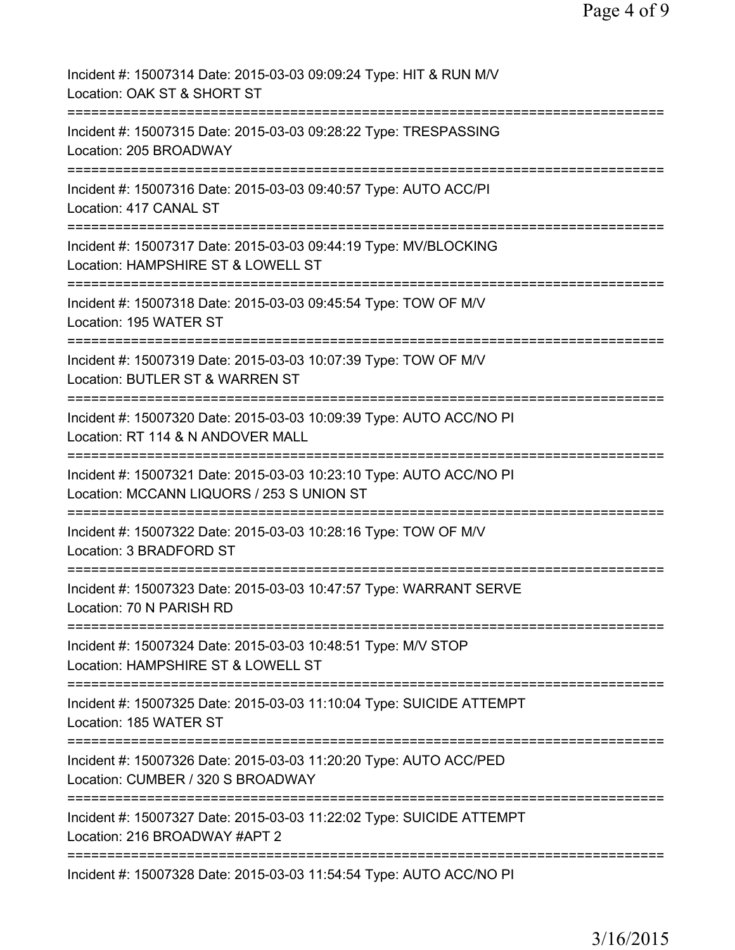| Incident #: 15007314 Date: 2015-03-03 09:09:24 Type: HIT & RUN M/V<br>Location: OAK ST & SHORT ST                           |
|-----------------------------------------------------------------------------------------------------------------------------|
| Incident #: 15007315 Date: 2015-03-03 09:28:22 Type: TRESPASSING<br>Location: 205 BROADWAY                                  |
| Incident #: 15007316 Date: 2015-03-03 09:40:57 Type: AUTO ACC/PI<br>Location: 417 CANAL ST                                  |
| Incident #: 15007317 Date: 2015-03-03 09:44:19 Type: MV/BLOCKING<br>Location: HAMPSHIRE ST & LOWELL ST                      |
| Incident #: 15007318 Date: 2015-03-03 09:45:54 Type: TOW OF M/V<br>Location: 195 WATER ST                                   |
| Incident #: 15007319 Date: 2015-03-03 10:07:39 Type: TOW OF M/V<br>Location: BUTLER ST & WARREN ST                          |
| Incident #: 15007320 Date: 2015-03-03 10:09:39 Type: AUTO ACC/NO PI<br>Location: RT 114 & N ANDOVER MALL                    |
| Incident #: 15007321 Date: 2015-03-03 10:23:10 Type: AUTO ACC/NO PI<br>Location: MCCANN LIQUORS / 253 S UNION ST            |
| Incident #: 15007322 Date: 2015-03-03 10:28:16 Type: TOW OF M/V<br>Location: 3 BRADFORD ST                                  |
| Incident #: 15007323 Date: 2015-03-03 10:47:57 Type: WARRANT SERVE<br>Location: 70 N PARISH RD                              |
| Incident #: 15007324 Date: 2015-03-03 10:48:51 Type: M/V STOP<br>Location: HAMPSHIRE ST & LOWELL ST                         |
| =========================<br>Incident #: 15007325 Date: 2015-03-03 11:10:04 Type: SUICIDE ATTEMPT<br>Location: 185 WATER ST |
| Incident #: 15007326 Date: 2015-03-03 11:20:20 Type: AUTO ACC/PED<br>Location: CUMBER / 320 S BROADWAY                      |
| Incident #: 15007327 Date: 2015-03-03 11:22:02 Type: SUICIDE ATTEMPT<br>Location: 216 BROADWAY #APT 2                       |
| Incident #: 15007328 Date: 2015-03-03 11:54:54 Type: AUTO ACC/NO PI                                                         |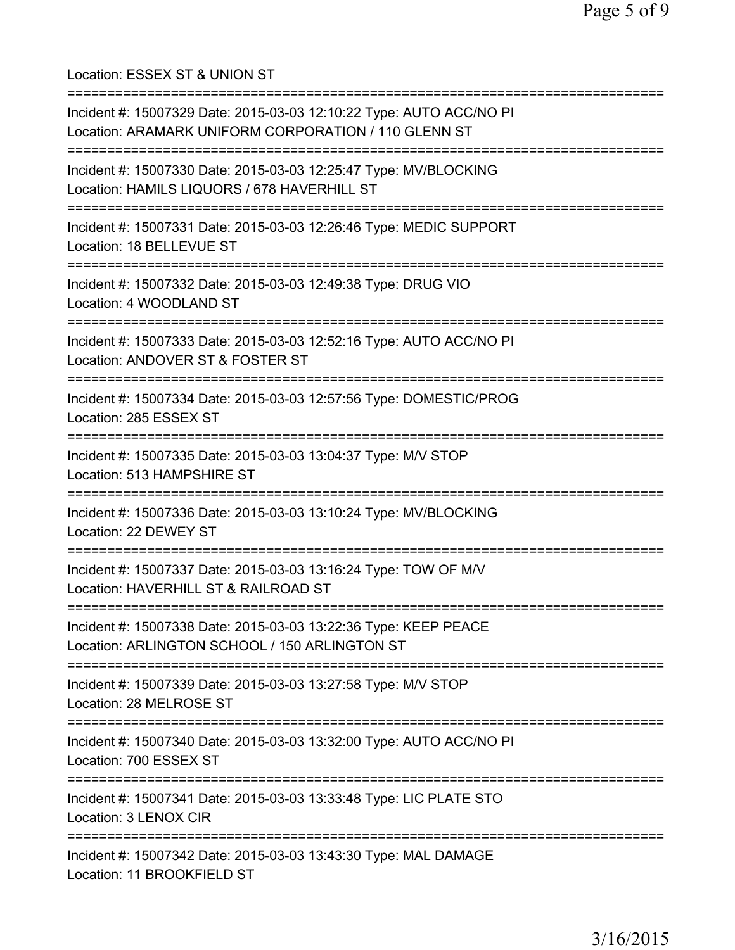=========================================================================== Incident #: 15007329 Date: 2015-03-03 12:10:22 Type: AUTO ACC/NO PI Location: ARAMARK UNIFORM CORPORATION / 110 GLENN ST =========================================================================== Incident #: 15007330 Date: 2015-03-03 12:25:47 Type: MV/BLOCKING Location: HAMILS LIQUORS / 678 HAVERHILL ST =========================================================================== Incident #: 15007331 Date: 2015-03-03 12:26:46 Type: MEDIC SUPPORT Location: 18 BELLEVUE ST =========================================================================== Incident #: 15007332 Date: 2015-03-03 12:49:38 Type: DRUG VIO Location: 4 WOODLAND ST =========================================================================== Incident #: 15007333 Date: 2015-03-03 12:52:16 Type: AUTO ACC/NO PI Location: ANDOVER ST & FOSTER ST =========================================================================== Incident #: 15007334 Date: 2015-03-03 12:57:56 Type: DOMESTIC/PROG Location: 285 ESSEX ST =========================================================================== Incident #: 15007335 Date: 2015-03-03 13:04:37 Type: M/V STOP Location: 513 HAMPSHIRE ST =========================================================================== Incident #: 15007336 Date: 2015-03-03 13:10:24 Type: MV/BLOCKING Location: 22 DEWEY ST =========================================================================== Incident #: 15007337 Date: 2015-03-03 13:16:24 Type: TOW OF M/V

Location: HAVERHILL ST & RAILROAD ST

Location: ESSEX ST & UNION ST

===========================================================================

Incident #: 15007338 Date: 2015-03-03 13:22:36 Type: KEEP PEACE Location: ARLINGTON SCHOOL / 150 ARLINGTON ST

===========================================================================

Incident #: 15007339 Date: 2015-03-03 13:27:58 Type: M/V STOP Location: 28 MELROSE ST

===========================================================================

Incident #: 15007340 Date: 2015-03-03 13:32:00 Type: AUTO ACC/NO PI

Location: 700 ESSEX ST

===========================================================================

Incident #: 15007341 Date: 2015-03-03 13:33:48 Type: LIC PLATE STO Location: 3 LENOX CIR

===========================================================================

Incident #: 15007342 Date: 2015-03-03 13:43:30 Type: MAL DAMAGE Location: 11 BROOKFIELD ST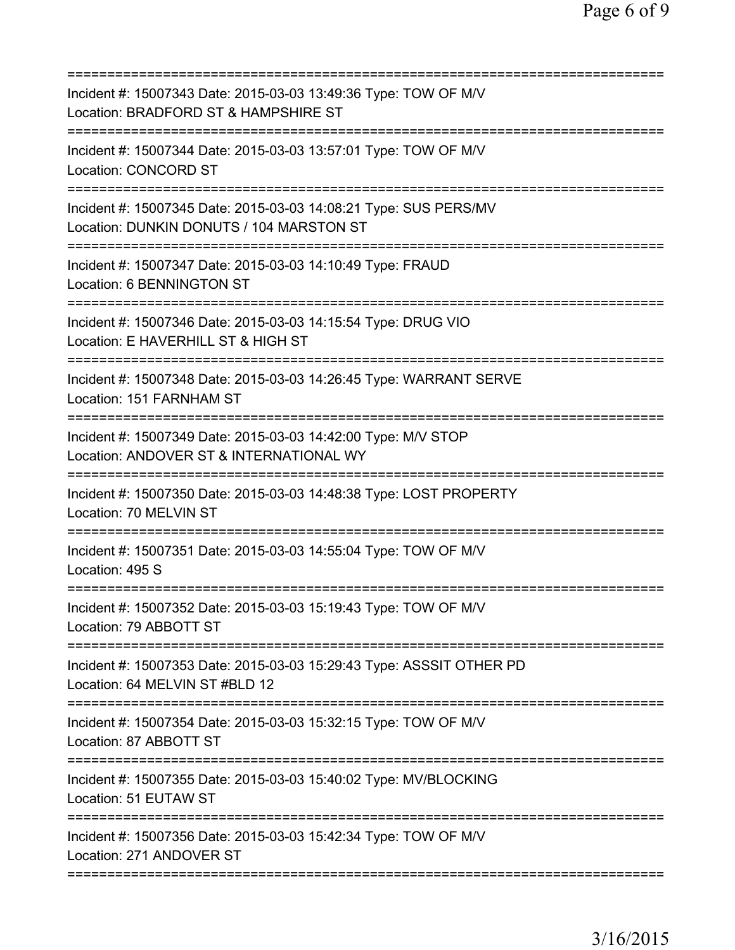| Incident #: 15007343 Date: 2015-03-03 13:49:36 Type: TOW OF M/V<br>Location: BRADFORD ST & HAMPSHIRE ST<br>========================                                       |
|---------------------------------------------------------------------------------------------------------------------------------------------------------------------------|
| Incident #: 15007344 Date: 2015-03-03 13:57:01 Type: TOW OF M/V<br><b>Location: CONCORD ST</b>                                                                            |
| Incident #: 15007345 Date: 2015-03-03 14:08:21 Type: SUS PERS/MV<br>Location: DUNKIN DONUTS / 104 MARSTON ST                                                              |
| ======================================<br>====================================<br>Incident #: 15007347 Date: 2015-03-03 14:10:49 Type: FRAUD<br>Location: 6 BENNINGTON ST |
| Incident #: 15007346 Date: 2015-03-03 14:15:54 Type: DRUG VIO<br>Location: E HAVERHILL ST & HIGH ST                                                                       |
| Incident #: 15007348 Date: 2015-03-03 14:26:45 Type: WARRANT SERVE<br>Location: 151 FARNHAM ST                                                                            |
| Incident #: 15007349 Date: 2015-03-03 14:42:00 Type: M/V STOP<br>Location: ANDOVER ST & INTERNATIONAL WY                                                                  |
| Incident #: 15007350 Date: 2015-03-03 14:48:38 Type: LOST PROPERTY<br>Location: 70 MELVIN ST                                                                              |
| Incident #: 15007351 Date: 2015-03-03 14:55:04 Type: TOW OF M/V<br>Location: 495 S                                                                                        |
| Incident #: 15007352 Date: 2015-03-03 15:19:43 Type: TOW OF M/V<br>Location: 79 ABBOTT ST                                                                                 |
| Incident #: 15007353 Date: 2015-03-03 15:29:43 Type: ASSSIT OTHER PD<br>Location: 64 MELVIN ST #BLD 12                                                                    |
| Incident #: 15007354 Date: 2015-03-03 15:32:15 Type: TOW OF M/V<br>Location: 87 ABBOTT ST                                                                                 |
| Incident #: 15007355 Date: 2015-03-03 15:40:02 Type: MV/BLOCKING<br>Location: 51 EUTAW ST                                                                                 |
| Incident #: 15007356 Date: 2015-03-03 15:42:34 Type: TOW OF M/V<br>Location: 271 ANDOVER ST                                                                               |
|                                                                                                                                                                           |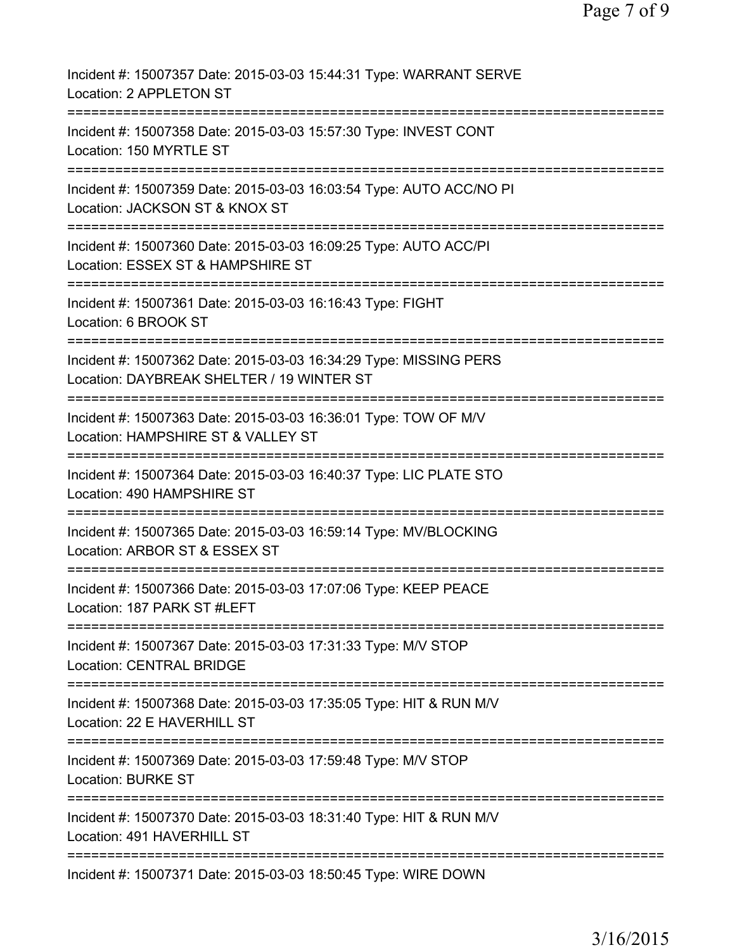| Incident #: 15007357 Date: 2015-03-03 15:44:31 Type: WARRANT SERVE<br>Location: 2 APPLETON ST                  |
|----------------------------------------------------------------------------------------------------------------|
| Incident #: 15007358 Date: 2015-03-03 15:57:30 Type: INVEST CONT<br>Location: 150 MYRTLE ST                    |
| Incident #: 15007359 Date: 2015-03-03 16:03:54 Type: AUTO ACC/NO PI<br>Location: JACKSON ST & KNOX ST          |
| Incident #: 15007360 Date: 2015-03-03 16:09:25 Type: AUTO ACC/PI<br>Location: ESSEX ST & HAMPSHIRE ST          |
| Incident #: 15007361 Date: 2015-03-03 16:16:43 Type: FIGHT<br>Location: 6 BROOK ST<br>===============          |
| Incident #: 15007362 Date: 2015-03-03 16:34:29 Type: MISSING PERS<br>Location: DAYBREAK SHELTER / 19 WINTER ST |
| Incident #: 15007363 Date: 2015-03-03 16:36:01 Type: TOW OF M/V<br>Location: HAMPSHIRE ST & VALLEY ST          |
| Incident #: 15007364 Date: 2015-03-03 16:40:37 Type: LIC PLATE STO<br>Location: 490 HAMPSHIRE ST               |
| Incident #: 15007365 Date: 2015-03-03 16:59:14 Type: MV/BLOCKING<br>Location: ARBOR ST & ESSEX ST              |
| Incident #: 15007366 Date: 2015-03-03 17:07:06 Type: KEEP PEACE<br>Location: 187 PARK ST #LEFT                 |
| Incident #: 15007367 Date: 2015-03-03 17:31:33 Type: M/V STOP<br><b>Location: CENTRAL BRIDGE</b>               |
| Incident #: 15007368 Date: 2015-03-03 17:35:05 Type: HIT & RUN M/V<br>Location: 22 E HAVERHILL ST              |
| Incident #: 15007369 Date: 2015-03-03 17:59:48 Type: M/V STOP<br><b>Location: BURKE ST</b>                     |
| Incident #: 15007370 Date: 2015-03-03 18:31:40 Type: HIT & RUN M/V<br>Location: 491 HAVERHILL ST               |
| Incident #: 15007371 Date: 2015-03-03 18:50:45 Type: WIRE DOWN                                                 |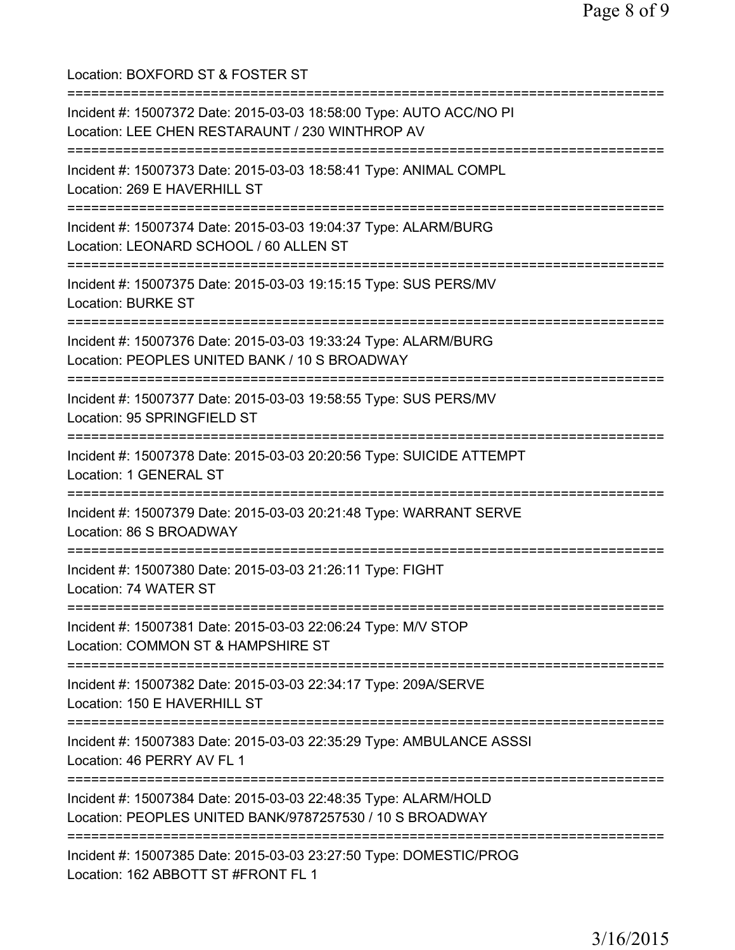Location: BOXFORD ST & FOSTER ST =========================================================================== Incident #: 15007372 Date: 2015-03-03 18:58:00 Type: AUTO ACC/NO PI Location: LEE CHEN RESTARAUNT / 230 WINTHROP AV =========================================================================== Incident #: 15007373 Date: 2015-03-03 18:58:41 Type: ANIMAL COMPL Location: 269 E HAVERHILL ST =========================================================================== Incident #: 15007374 Date: 2015-03-03 19:04:37 Type: ALARM/BURG Location: LEONARD SCHOOL / 60 ALLEN ST =========================================================================== Incident #: 15007375 Date: 2015-03-03 19:15:15 Type: SUS PERS/MV Location: BURKE ST =========================================================================== Incident #: 15007376 Date: 2015-03-03 19:33:24 Type: ALARM/BURG Location: PEOPLES UNITED BANK / 10 S BROADWAY =========================================================================== Incident #: 15007377 Date: 2015-03-03 19:58:55 Type: SUS PERS/MV Location: 95 SPRINGFIELD ST =========================================================================== Incident #: 15007378 Date: 2015-03-03 20:20:56 Type: SUICIDE ATTEMPT Location: 1 GENERAL ST =========================================================================== Incident #: 15007379 Date: 2015-03-03 20:21:48 Type: WARRANT SERVE Location: 86 S BROADWAY =========================================================================== Incident #: 15007380 Date: 2015-03-03 21:26:11 Type: FIGHT Location: 74 WATER ST =========================================================================== Incident #: 15007381 Date: 2015-03-03 22:06:24 Type: M/V STOP Location: COMMON ST & HAMPSHIRE ST =========================================================================== Incident #: 15007382 Date: 2015-03-03 22:34:17 Type: 209A/SERVE Location: 150 E HAVERHILL ST =========================================================================== Incident #: 15007383 Date: 2015-03-03 22:35:29 Type: AMBULANCE ASSSI Location: 46 PERRY AV FL 1 =========================================================================== Incident #: 15007384 Date: 2015-03-03 22:48:35 Type: ALARM/HOLD Location: PEOPLES UNITED BANK/9787257530 / 10 S BROADWAY =========================================================================== Incident #: 15007385 Date: 2015-03-03 23:27:50 Type: DOMESTIC/PROG Location: 162 ABBOTT ST #FRONT FL 1